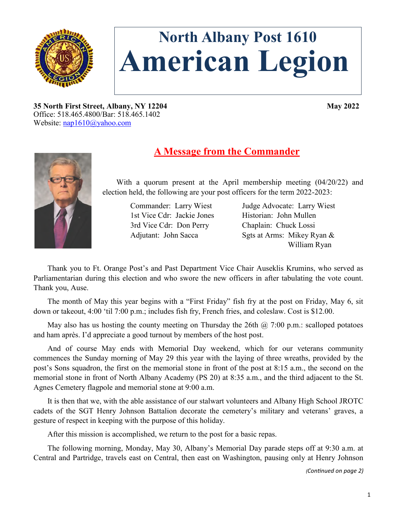

# **North Albany Post 1610 American Legion**

**35 North First Street, Albany, NY 12204 May 2022** Office: 518.465.4800/Bar: 518.465.1402 Website: [nap1610@yahoo.com](mailto:nap1610@yahoo.com)



## **A Message from the Commander**

With a quorum present at the April membership meeting (04/20/22) and election held, the following are your post officers for the term 2022-2023:

> 1st Vice Cdr: Jackie Jones Historian: John Mullen 3rd Vice Cdr: Don Perry Chaplain: Chuck Lossi

 Commander: Larry Wiest Judge Advocate: Larry Wiest Adjutant: John Sacca Sgts at Arms: Mikey Ryan & William Ryan

Thank you to Ft. Orange Post's and Past Department Vice Chair Auseklis Krumins, who served as Parliamentarian during this election and who swore the new officers in after tabulating the vote count. Thank you, Ause.

The month of May this year begins with a "First Friday" fish fry at the post on Friday, May 6, sit down or takeout, 4:00 'til 7:00 p.m.; includes fish fry, French fries, and coleslaw. Cost is \$12.00.

May also has us hosting the county meeting on Thursday the 26th  $\omega$  7:00 p.m.: scalloped potatoes and ham après. I'd appreciate a good turnout by members of the host post.

And of course May ends with Memorial Day weekend, which for our veterans community commences the Sunday morning of May 29 this year with the laying of three wreaths, provided by the post's Sons squadron, the first on the memorial stone in front of the post at 8:15 a.m., the second on the memorial stone in front of North Albany Academy (PS 20) at 8:35 a.m., and the third adjacent to the St. Agnes Cemetery flagpole and memorial stone at 9:00 a.m.

It is then that we, with the able assistance of our stalwart volunteers and Albany High School JROTC cadets of the SGT Henry Johnson Battalion decorate the cemetery's military and veterans' graves, a gesture of respect in keeping with the purpose of this holiday.

After this mission is accomplished, we return to the post for a basic repas.

The following morning, Monday, May 30, Albany's Memorial Day parade steps off at 9:30 a.m. at Central and Partridge, travels east on Central, then east on Washington, pausing only at Henry Johnson

*(Continued on page 2)*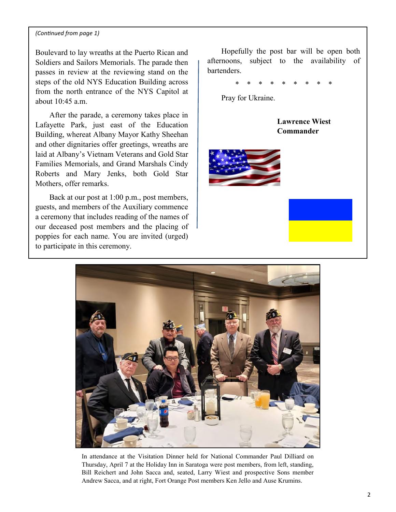#### *(Continued from page 1)*

Boulevard to lay wreaths at the Puerto Rican and Soldiers and Sailors Memorials. The parade then passes in review at the reviewing stand on the steps of the old NYS Education Building across from the north entrance of the NYS Capitol at about  $10:45$  a m.

After the parade, a ceremony takes place in Lafayette Park, just east of the Education Building, whereat Albany Mayor Kathy Sheehan and other dignitaries offer greetings, wreaths are laid at Albany's Vietnam Veterans and Gold Star Families Memorials, and Grand Marshals Cindy Roberts and Mary Jenks, both Gold Star Mothers, offer remarks.

Back at our post at 1:00 p.m., post members, guests, and members of the Auxiliary commence a ceremony that includes reading of the names of our deceased post members and the placing of poppies for each name. You are invited (urged) to participate in this ceremony.

Hopefully the post bar will be open both afternoons, subject to the availability of bartenders.

\* \* \* \* \* \* \* \* \*

Pray for Ukraine.

**Lawrence Wiest Commander**





In attendance at the Visitation Dinner held for National Commander Paul Dilliard on Thursday, April 7 at the Holiday Inn in Saratoga were post members, from left, standing, Bill Reichert and John Sacca and, seated, Larry Wiest and prospective Sons member Andrew Sacca, and at right, Fort Orange Post members Ken Jello and Ause Krumins.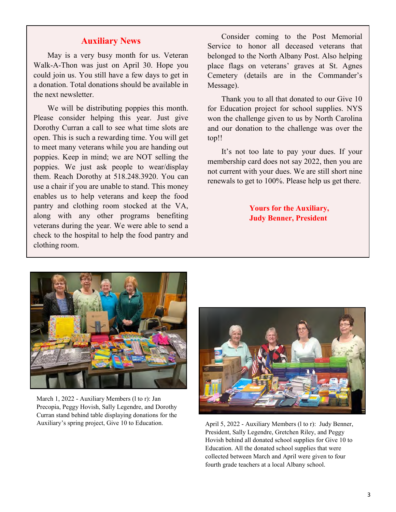## **Auxiliary News**

May is a very busy month for us. Veteran Walk-A-Thon was just on April 30. Hope you could join us. You still have a few days to get in a donation. Total donations should be available in the next newsletter.

We will be distributing poppies this month. Please consider helping this year. Just give Dorothy Curran a call to see what time slots are open. This is such a rewarding time. You will get to meet many veterans while you are handing out poppies. Keep in mind; we are NOT selling the poppies. We just ask people to wear/display them. Reach Dorothy at 518.248.3920. You can use a chair if you are unable to stand. This money enables us to help veterans and keep the food pantry and clothing room stocked at the VA, along with any other programs benefiting veterans during the year. We were able to send a check to the hospital to help the food pantry and clothing room.

Consider coming to the Post Memorial Service to honor all deceased veterans that belonged to the North Albany Post. Also helping place flags on veterans' graves at St. Agnes Cemetery (details are in the Commander's Message).

Thank you to all that donated to our Give 10 for Education project for school supplies. NYS won the challenge given to us by North Carolina and our donation to the challenge was over the top!!

It's not too late to pay your dues. If your membership card does not say 2022, then you are not current with your dues. We are still short nine renewals to get to 100%. Please help us get there.

> **Yours for the Auxiliary, Judy Benner, President**



March 1, 2022 - Auxiliary Members (l to r): Jan Precopia, Peggy Hovish, Sally Legendre, and Dorothy Curran stand behind table displaying donations for the Auxiliary's spring project, Give 10 to Education.



April 5, 2022 - Auxiliary Members (l to r): Judy Benner, President, Sally Legendre, Gretchen Riley, and Peggy Hovish behind all donated school supplies for Give 10 to Education. All the donated school supplies that were collected between March and April were given to four fourth grade teachers at a local Albany school.